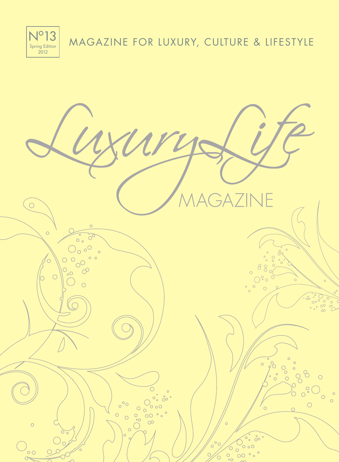MAGAZINE FOR LUXURY, CULTURE & LIFESTYLE